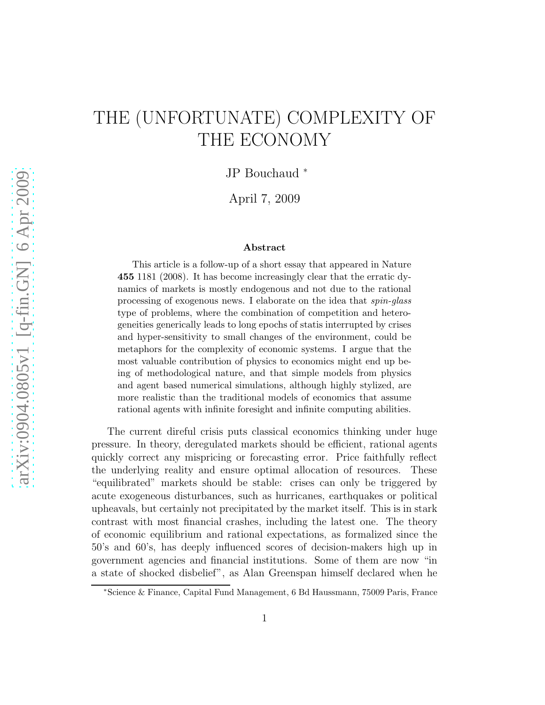## THE (UNFORTUNATE) COMPLEXITY OF THE ECONOMY

JP Bouchaud <sup>∗</sup>

April 7, 2009

## Abstract

This article is a follow-up of a short essay that appeared in Nature 455 1181 (2008). It has become increasingly clear that the erratic dynamics of markets is mostly endogenous and not due to the rational processing of exogenous news. I elaborate on the idea that spin-glass type of problems, where the combination of competition and heterogeneities generically leads to long epochs of statis interrupted by crises and hyper-sensitivity to small changes of the environment, could be metaphors for the complexity of economic systems. I argue that the most valuable contribution of physics to economics might end up being of methodological nature, and that simple models from physics and agent based numerical simulations, although highly stylized, are more realistic than the traditional models of economics that assume rational agents with infinite foresight and infinite computing abilities.

The current direful crisis puts classical economics thinking under huge pressure. In theory, deregulated markets should be efficient, rational agents quickly correct any mispricing or forecasting error. Price faithfully reflect the underlying reality and ensure optimal allocation of resources. These "equilibrated" markets should be stable: crises can only be triggered by acute exogeneous disturbances, such as hurricanes, earthquakes or political upheavals, but certainly not precipitated by the market itself. This is in stark contrast with most financial crashes, including the latest one. The theory of economic equilibrium and rational expectations, as formalized since the 50's and 60's, has deeply influenced scores of decision-makers high up in government agencies and financial institutions. Some of them are now "in a state of shocked disbelief", as Alan Greenspan himself declared when he

<sup>∗</sup>Science & Finance, Capital Fund Management, 6 Bd Haussmann, 75009 Paris, France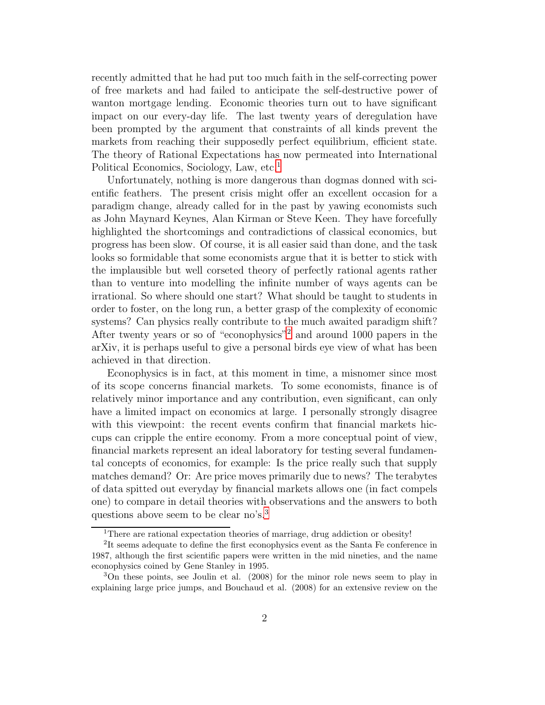recently admitted that he had put too much faith in the self-correcting power of free markets and had failed to anticipate the self-destructive power of wanton mortgage lending. Economic theories turn out to have significant impact on our every-day life. The last twenty years of deregulation have been prompted by the argument that constraints of all kinds prevent the markets from reaching their supposedly perfect equilibrium, efficient state. The theory of Rational Expectations has now permeated into International Political Economics, Sociology, Law, etc.<sup>[1](#page-1-0)</sup>

Unfortunately, nothing is more dangerous than dogmas donned with scientific feathers. The present crisis might offer an excellent occasion for a paradigm change, already called for in the past by yawing economists such as John Maynard Keynes, Alan Kirman or Steve Keen. They have forcefully highlighted the shortcomings and contradictions of classical economics, but progress has been slow. Of course, it is all easier said than done, and the task looks so formidable that some economists argue that it is better to stick with the implausible but well corseted theory of perfectly rational agents rather than to venture into modelling the infinite number of ways agents can be irrational. So where should one start? What should be taught to students in order to foster, on the long run, a better grasp of the complexity of economic systems? Can physics really contribute to the much awaited paradigm shift? After twenty years or so of "econophysics"[2](#page-1-1) and around 1000 papers in the arXiv, it is perhaps useful to give a personal birds eye view of what has been achieved in that direction.

Econophysics is in fact, at this moment in time, a misnomer since most of its scope concerns financial markets. To some economists, finance is of relatively minor importance and any contribution, even significant, can only have a limited impact on economics at large. I personally strongly disagree with this viewpoint: the recent events confirm that financial markets hiccups can cripple the entire economy. From a more conceptual point of view, financial markets represent an ideal laboratory for testing several fundamental concepts of economics, for example: Is the price really such that supply matches demand? Or: Are price moves primarily due to news? The terabytes of data spitted out everyday by financial markets allows one (in fact compels one) to compare in detail theories with observations and the answers to both questions above seem to be clear no's.[3](#page-1-2)

<span id="page-1-0"></span><sup>&</sup>lt;sup>1</sup>There are rational expectation theories of marriage, drug addiction or obesity!

<span id="page-1-1"></span><sup>2</sup> It seems adequate to define the first econophysics event as the Santa Fe conference in 1987, although the first scientific papers were written in the mid nineties, and the name econophysics coined by Gene Stanley in 1995.

<span id="page-1-2"></span><sup>3</sup>On these points, see Joulin et al. (2008) for the minor role news seem to play in explaining large price jumps, and Bouchaud et al. (2008) for an extensive review on the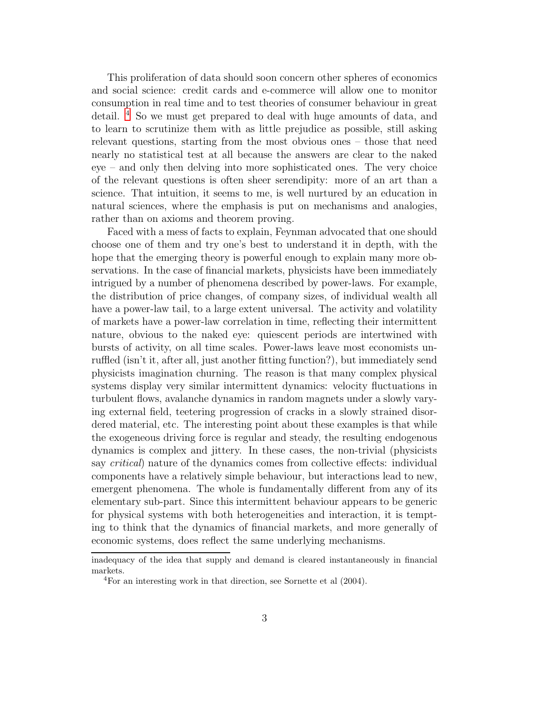This proliferation of data should soon concern other spheres of economics and social science: credit cards and e-commerce will allow one to monitor consumption in real time and to test theories of consumer behaviour in great detail. [4](#page-2-0) So we must get prepared to deal with huge amounts of data, and to learn to scrutinize them with as little prejudice as possible, still asking relevant questions, starting from the most obvious ones – those that need nearly no statistical test at all because the answers are clear to the naked eye – and only then delving into more sophisticated ones. The very choice of the relevant questions is often sheer serendipity: more of an art than a science. That intuition, it seems to me, is well nurtured by an education in natural sciences, where the emphasis is put on mechanisms and analogies, rather than on axioms and theorem proving.

Faced with a mess of facts to explain, Feynman advocated that one should choose one of them and try one's best to understand it in depth, with the hope that the emerging theory is powerful enough to explain many more observations. In the case of financial markets, physicists have been immediately intrigued by a number of phenomena described by power-laws. For example, the distribution of price changes, of company sizes, of individual wealth all have a power-law tail, to a large extent universal. The activity and volatility of markets have a power-law correlation in time, reflecting their intermittent nature, obvious to the naked eye: quiescent periods are intertwined with bursts of activity, on all time scales. Power-laws leave most economists unruffled (isn't it, after all, just another fitting function?), but immediately send physicists imagination churning. The reason is that many complex physical systems display very similar intermittent dynamics: velocity fluctuations in turbulent flows, avalanche dynamics in random magnets under a slowly varying external field, teetering progression of cracks in a slowly strained disordered material, etc. The interesting point about these examples is that while the exogeneous driving force is regular and steady, the resulting endogenous dynamics is complex and jittery. In these cases, the non-trivial (physicists say critical) nature of the dynamics comes from collective effects: individual components have a relatively simple behaviour, but interactions lead to new, emergent phenomena. The whole is fundamentally different from any of its elementary sub-part. Since this intermittent behaviour appears to be generic for physical systems with both heterogeneities and interaction, it is tempting to think that the dynamics of financial markets, and more generally of economic systems, does reflect the same underlying mechanisms.

inadequacy of the idea that supply and demand is cleared instantaneously in financial markets.

<span id="page-2-0"></span><sup>4</sup>For an interesting work in that direction, see Sornette et al (2004).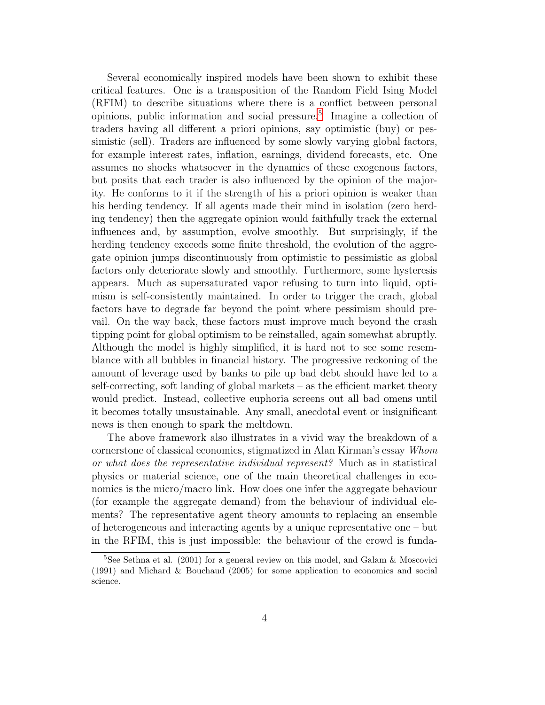Several economically inspired models have been shown to exhibit these critical features. One is a transposition of the Random Field Ising Model (RFIM) to describe situations where there is a conflict between personal opinions, public information and social pressure.<sup>[5](#page-3-0)</sup> Imagine a collection of traders having all different a priori opinions, say optimistic (buy) or pessimistic (sell). Traders are influenced by some slowly varying global factors, for example interest rates, inflation, earnings, dividend forecasts, etc. One assumes no shocks whatsoever in the dynamics of these exogenous factors, but posits that each trader is also influenced by the opinion of the majority. He conforms to it if the strength of his a priori opinion is weaker than his herding tendency. If all agents made their mind in isolation (zero herding tendency) then the aggregate opinion would faithfully track the external influences and, by assumption, evolve smoothly. But surprisingly, if the herding tendency exceeds some finite threshold, the evolution of the aggregate opinion jumps discontinuously from optimistic to pessimistic as global factors only deteriorate slowly and smoothly. Furthermore, some hysteresis appears. Much as supersaturated vapor refusing to turn into liquid, optimism is self-consistently maintained. In order to trigger the crach, global factors have to degrade far beyond the point where pessimism should prevail. On the way back, these factors must improve much beyond the crash tipping point for global optimism to be reinstalled, again somewhat abruptly. Although the model is highly simplified, it is hard not to see some resemblance with all bubbles in financial history. The progressive reckoning of the amount of leverage used by banks to pile up bad debt should have led to a self-correcting, soft landing of global markets – as the efficient market theory would predict. Instead, collective euphoria screens out all bad omens until it becomes totally unsustainable. Any small, anecdotal event or insignificant news is then enough to spark the meltdown.

The above framework also illustrates in a vivid way the breakdown of a cornerstone of classical economics, stigmatized in Alan Kirman's essay Whom or what does the representative individual represent? Much as in statistical physics or material science, one of the main theoretical challenges in economics is the micro/macro link. How does one infer the aggregate behaviour (for example the aggregate demand) from the behaviour of individual elements? The representative agent theory amounts to replacing an ensemble of heterogeneous and interacting agents by a unique representative one – but in the RFIM, this is just impossible: the behaviour of the crowd is funda-

<span id="page-3-0"></span><sup>&</sup>lt;sup>5</sup>See Sethna et al. (2001) for a general review on this model, and Galam & Moscovici (1991) and Michard & Bouchaud (2005) for some application to economics and social science.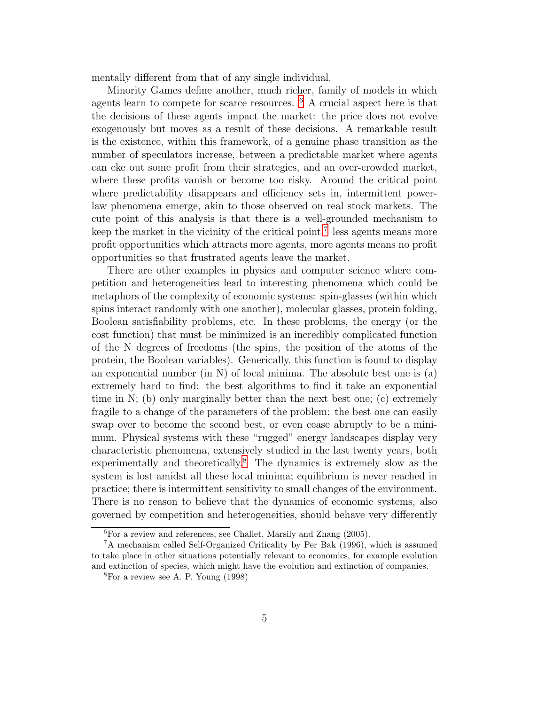mentally different from that of any single individual.

Minority Games define another, much richer, family of models in which agents learn to compete for scarce resources. [6](#page-4-0) A crucial aspect here is that the decisions of these agents impact the market: the price does not evolve exogenously but moves as a result of these decisions. A remarkable result is the existence, within this framework, of a genuine phase transition as the number of speculators increase, between a predictable market where agents can eke out some profit from their strategies, and an over-crowded market, where these profits vanish or become too risky. Around the critical point where predictability disappears and efficiency sets in, intermittent powerlaw phenomena emerge, akin to those observed on real stock markets. The cute point of this analysis is that there is a well-grounded mechanism to keep the market in the vicinity of the critical point:<sup>[7](#page-4-1)</sup> less agents means more profit opportunities which attracts more agents, more agents means no profit opportunities so that frustrated agents leave the market.

There are other examples in physics and computer science where competition and heterogeneities lead to interesting phenomena which could be metaphors of the complexity of economic systems: spin-glasses (within which spins interact randomly with one another), molecular glasses, protein folding, Boolean satisfiability problems, etc. In these problems, the energy (or the cost function) that must be minimized is an incredibly complicated function of the N degrees of freedoms (the spins, the position of the atoms of the protein, the Boolean variables). Generically, this function is found to display an exponential number (in N) of local minima. The absolute best one is  $(a)$ extremely hard to find: the best algorithms to find it take an exponential time in N; (b) only marginally better than the next best one; (c) extremely fragile to a change of the parameters of the problem: the best one can easily swap over to become the second best, or even cease abruptly to be a minimum. Physical systems with these "rugged" energy landscapes display very characteristic phenomena, extensively studied in the last twenty years, both experimentally and theoretically.[8](#page-4-2) The dynamics is extremely slow as the system is lost amidst all these local minima; equilibrium is never reached in practice; there is intermittent sensitivity to small changes of the environment. There is no reason to believe that the dynamics of economic systems, also governed by competition and heterogeneities, should behave very differently

<span id="page-4-0"></span> ${}^{6}$ For a review and references, see Challet, Marsily and Zhang (2005).

<span id="page-4-1"></span><sup>7</sup>A mechanism called Self-Organized Criticality by Per Bak (1996), which is assumed to take place in other situations potentially relevant to economics, for example evolution and extinction of species, which might have the evolution and extinction of companies.

<span id="page-4-2"></span><sup>8</sup>For a review see A. P. Young (1998)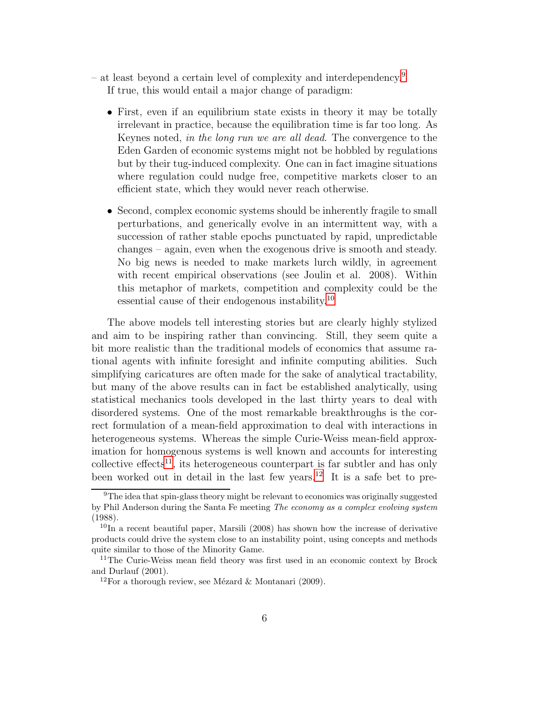- at least beyond a certain level of complexity and interdependency.[9](#page-5-0) If true, this would entail a major change of paradigm:
	- First, even if an equilibrium state exists in theory it may be totally irrelevant in practice, because the equilibration time is far too long. As Keynes noted, in the long run we are all dead. The convergence to the Eden Garden of economic systems might not be hobbled by regulations but by their tug-induced complexity. One can in fact imagine situations where regulation could nudge free, competitive markets closer to an efficient state, which they would never reach otherwise.
	- Second, complex economic systems should be inherently fragile to small perturbations, and generically evolve in an intermittent way, with a succession of rather stable epochs punctuated by rapid, unpredictable changes – again, even when the exogenous drive is smooth and steady. No big news is needed to make markets lurch wildly, in agreement with recent empirical observations (see Joulin et al. 2008). Within this metaphor of markets, competition and complexity could be the essential cause of their endogenous instability.[10](#page-5-1)

The above models tell interesting stories but are clearly highly stylized and aim to be inspiring rather than convincing. Still, they seem quite a bit more realistic than the traditional models of economics that assume rational agents with infinite foresight and infinite computing abilities. Such simplifying caricatures are often made for the sake of analytical tractability, but many of the above results can in fact be established analytically, using statistical mechanics tools developed in the last thirty years to deal with disordered systems. One of the most remarkable breakthroughs is the correct formulation of a mean-field approximation to deal with interactions in heterogeneous systems. Whereas the simple Curie-Weiss mean-field approximation for homogenous systems is well known and accounts for interesting collective effects<sup>[11](#page-5-2)</sup>, its heterogeneous counterpart is far subtler and has only been worked out in detail in the last few years.[12](#page-5-3) It is a safe bet to pre-

<span id="page-5-0"></span><sup>9</sup>The idea that spin-glass theory might be relevant to economics was originally suggested by Phil Anderson during the Santa Fe meeting The economy as a complex evolving system (1988).

<span id="page-5-1"></span> $10$ In a recent beautiful paper, Marsili (2008) has shown how the increase of derivative products could drive the system close to an instability point, using concepts and methods quite similar to those of the Minority Game.

<sup>11</sup>The Curie-Weiss mean field theory was first used in an economic context by Brock and Durlauf (2001).

<span id="page-5-3"></span><span id="page-5-2"></span><sup>&</sup>lt;sup>12</sup>For a thorough review, see Mézard & Montanari (2009).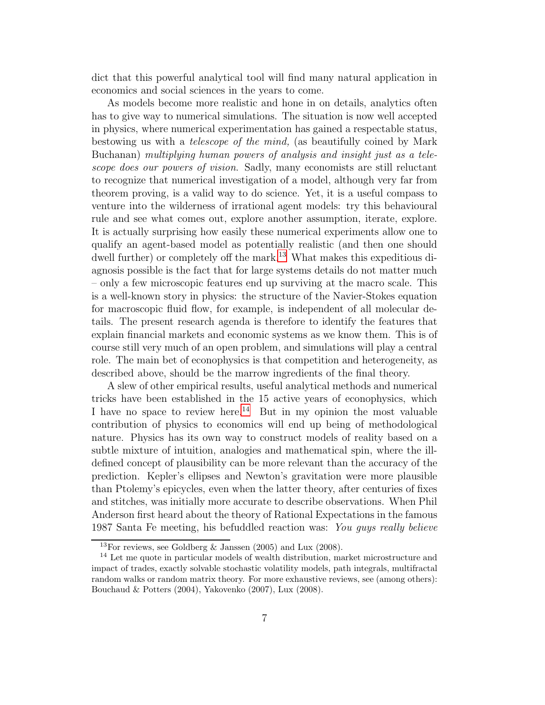dict that this powerful analytical tool will find many natural application in economics and social sciences in the years to come.

As models become more realistic and hone in on details, analytics often has to give way to numerical simulations. The situation is now well accepted in physics, where numerical experimentation has gained a respectable status, bestowing us with a telescope of the mind, (as beautifully coined by Mark Buchanan) multiplying human powers of analysis and insight just as a telescope does our powers of vision. Sadly, many economists are still reluctant to recognize that numerical investigation of a model, although very far from theorem proving, is a valid way to do science. Yet, it is a useful compass to venture into the wilderness of irrational agent models: try this behavioural rule and see what comes out, explore another assumption, iterate, explore. It is actually surprising how easily these numerical experiments allow one to qualify an agent-based model as potentially realistic (and then one should dwell further) or completely off the mark.<sup>[13](#page-6-0)</sup> What makes this expeditious diagnosis possible is the fact that for large systems details do not matter much – only a few microscopic features end up surviving at the macro scale. This is a well-known story in physics: the structure of the Navier-Stokes equation for macroscopic fluid flow, for example, is independent of all molecular details. The present research agenda is therefore to identify the features that explain financial markets and economic systems as we know them. This is of course still very much of an open problem, and simulations will play a central role. The main bet of econophysics is that competition and heterogeneity, as described above, should be the marrow ingredients of the final theory.

A slew of other empirical results, useful analytical methods and numerical tricks have been established in the 15 active years of econophysics, which I have no space to review here.<sup>[14](#page-6-1)</sup> But in my opinion the most valuable contribution of physics to economics will end up being of methodological nature. Physics has its own way to construct models of reality based on a subtle mixture of intuition, analogies and mathematical spin, where the illdefined concept of plausibility can be more relevant than the accuracy of the prediction. Kepler's ellipses and Newton's gravitation were more plausible than Ptolemy's epicycles, even when the latter theory, after centuries of fixes and stitches, was initially more accurate to describe observations. When Phil Anderson first heard about the theory of Rational Expectations in the famous 1987 Santa Fe meeting, his befuddled reaction was: You guys really believe

<span id="page-6-0"></span> $13\overline{F}$ or reviews, see Goldberg & Janssen (2005) and Lux (2008).

<span id="page-6-1"></span><sup>&</sup>lt;sup>14</sup> Let me quote in particular models of wealth distribution, market microstructure and impact of trades, exactly solvable stochastic volatility models, path integrals, multifractal random walks or random matrix theory. For more exhaustive reviews, see (among others): Bouchaud & Potters (2004), Yakovenko (2007), Lux (2008).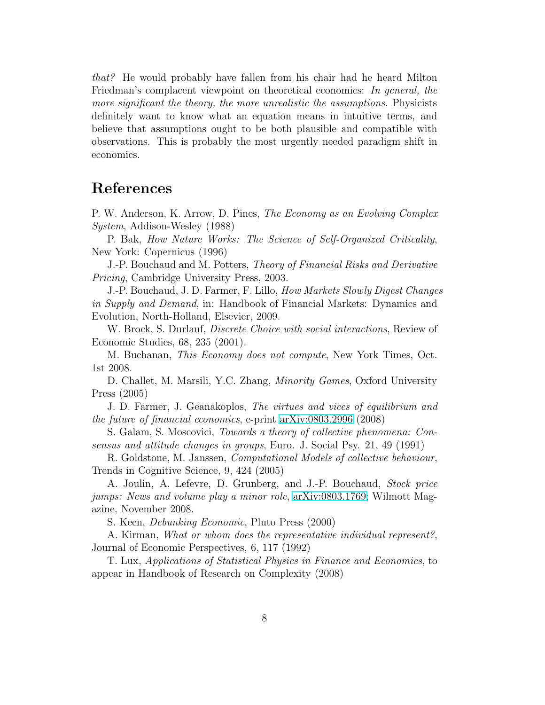that? He would probably have fallen from his chair had he heard Milton Friedman's complacent viewpoint on theoretical economics: In general, the more significant the theory, the more unrealistic the assumptions. Physicists definitely want to know what an equation means in intuitive terms, and believe that assumptions ought to be both plausible and compatible with observations. This is probably the most urgently needed paradigm shift in economics.

## References

P. W. Anderson, K. Arrow, D. Pines, The Economy as an Evolving Complex System, Addison-Wesley (1988)

P. Bak, How Nature Works: The Science of Self-Organized Criticality, New York: Copernicus (1996)

J.-P. Bouchaud and M. Potters, Theory of Financial Risks and Derivative Pricing, Cambridge University Press, 2003.

J.-P. Bouchaud, J. D. Farmer, F. Lillo, How Markets Slowly Digest Changes in Supply and Demand, in: Handbook of Financial Markets: Dynamics and Evolution, North-Holland, Elsevier, 2009.

W. Brock, S. Durlauf, Discrete Choice with social interactions, Review of Economic Studies, 68, 235 (2001).

M. Buchanan, This Economy does not compute, New York Times, Oct. 1st 2008.

D. Challet, M. Marsili, Y.C. Zhang, Minority Games, Oxford University Press (2005)

J. D. Farmer, J. Geanakoplos, The virtues and vices of equilibrium and the future of financial economics, e-print [arXiv:0803.2996](http://arXiv.org/abs/0803.2996) (2008)

S. Galam, S. Moscovici, Towards a theory of collective phenomena: Consensus and attitude changes in groups, Euro. J. Social Psy. 21, 49 (1991)

R. Goldstone, M. Janssen, Computational Models of collective behaviour, Trends in Cognitive Science, 9, 424 (2005)

A. Joulin, A. Lefevre, D. Grunberg, and J.-P. Bouchaud, Stock price jumps: News and volume play a minor role, [arXiv:0803.1769;](http://arXiv.org/abs/0803.1769) Wilmott Magazine, November 2008.

S. Keen, Debunking Economic, Pluto Press (2000)

A. Kirman, What or whom does the representative individual represent?, Journal of Economic Perspectives, 6, 117 (1992)

T. Lux, Applications of Statistical Physics in Finance and Economics, to appear in Handbook of Research on Complexity (2008)